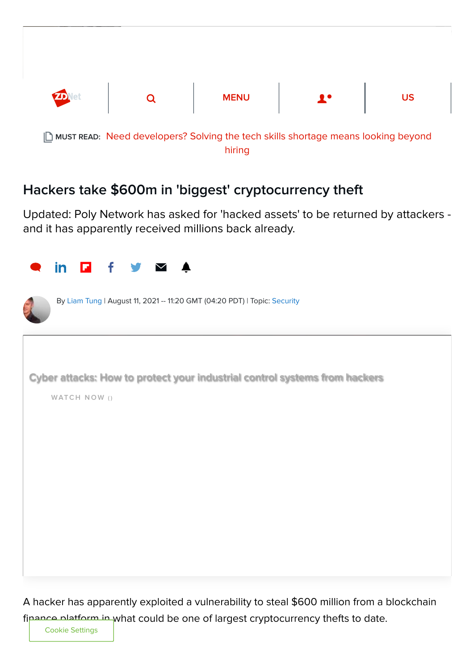

## Hackers take \$600m in 'biggest' cryptocurrency theft

Updated: Poly Network has asked for 'hacked assets' to be returned by attackers and it has apparently received millions back already.



A hacker has apparently exploited a vulnerability to steal \$600 million from a blockchain finance platform in what could be one of largest cryptocurrency thefts to date.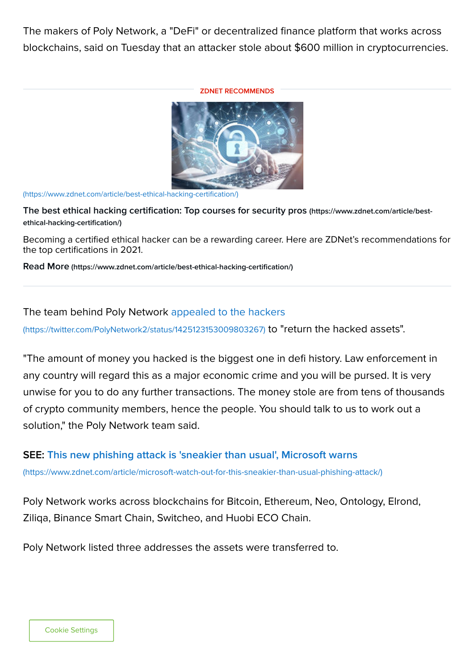The makers of Poly Network, a "DeFi" or decentralized finance platform that works across blockchains, said on Tuesday that an attacker stole about \$600 million in cryptocurrencies.

## ZDNET RECOMMENDS



[\(https://www.zdnet.com/article/best-ethical-hacking-certification/\)](https://www.zdnet.com/article/best-ethical-hacking-certification/)

[The best ethical hacking certification: Top courses for security pros](https://www.zdnet.com/article/best-ethical-hacking-certification/) (https://www.zdnet.com/article/bestethical-hacking-certification/)

Becoming a certified ethical hacker can be a rewarding career. Here are ZDNet's recommendations for the top certifications in 2021.

Read More [\(https://www.zdnet.com/article/best-ethical-hacking-certification/\)](https://www.zdnet.com/article/best-ethical-hacking-certification/)

## [The team behind Poly Network appealed to the hackers](https://twitter.com/PolyNetwork2/status/1425123153009803267)

(https://twitter.com/PolyNetwork2/status/1425123153009803267) to "return the hacked assets".

"The amount of money you hacked is the biggest one in defi history. Law enforcement in any country will regard this as a major economic crime and you will be pursed. It is very unwise for you to do any further transactions. The money stole are from tens of thousands of crypto community members, hence the people. You should talk to us to work out a solution," the Poly Network team said.

## [SEE: This new phishing attack is 'sneakier than usual', Microsoft warns](https://www.zdnet.com/article/microsoft-watch-out-for-this-sneakier-than-usual-phishing-attack/)

(https://www.zdnet.com/article/microsoft-watch-out-for-this-sneakier-than-usual-phishing-attack/)

Poly Network works across blockchains for Bitcoin, Ethereum, Neo, Ontology, Elrond, Ziliqa, Binance Smart Chain, Switcheo, and Huobi ECO Chain.

Poly Network listed three addresses the assets were transferred to.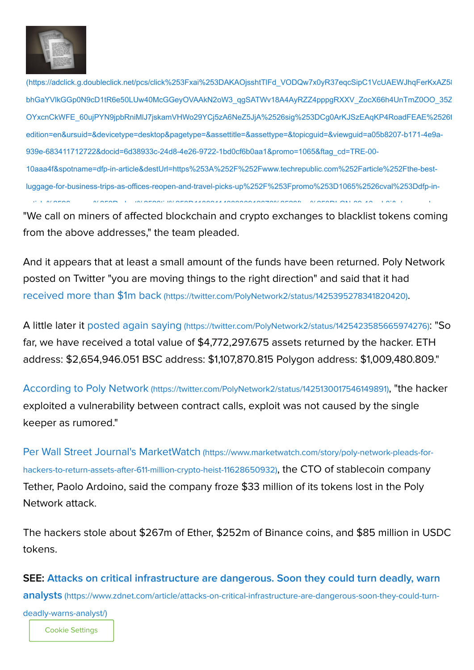

[\(https://adclick.g.doubleclick.net/pcs/click%253Fxai%253DAKAOjsshtTlFd\\_VODQw7x0yR37eqcSipC1VcUAEWJhqFerKxAZ58](https://adclick.g.doubleclick.net/pcs/click%253Fxai%253DAKAOjsshtTlFd_VODQw7x0yR37eqcSipC1VcUAEWJhqFerKxAZ58UAU16l2Hfyma0fUtmu7j9qInQq8d2jWVO3A40POikvO4YiohjI2rahrtuGx2XY8usgvAnjfvnoWb4zHvVLsmX3y73dqrtw50Cg3vZ-bhGaYVlkGGp0N9cD1tR6e50LUw40McGGeyOVAAkN2oW3_qgSATWv18A4AyRZZ4pppgRXXV_ZocX66h4UnTmZ0OO_35Z1RFOB_1kuDKTxhn6Men_PEQ4OGf8nn-OYxcnCkWFE_60ujPYN9jpbRniMlJ7jskamVHWo29YCj5zA6NeZ5JjA%2526sig%253DCg0ArKJSzEAqKP4RoadFEAE%2526fbs_aeid%253D%255Bgw_fbsaeid%255D%2526urlfix%253D1%2526adurl%253Dhttps://lnk.techrepublic.com/redir?edition=en&ursuid=&devicetype=desktop&pagetype=&assettitle=&assettype=&topicguid=&viewguid=a05b8207-b171-4e9a-939e-683411712722&docid=6d38933c-24d8-4e26-9722-1bd0cf6b0aa1&promo=1065&ftag_cd=TRE-00-10aaa4f&spotname=dfp-in-article&destUrl=https%253A%252F%252Fwww.techrepublic.com%252Farticle%252Fthe-best-luggage-for-business-trips-as-offices-reopen-and-travel-picks-up%252F%253Fpromo%253D1065%2526cval%253Ddfp-in-article%2526source%253Dzdnet%2526tid%253D1108211433330912676%2523ftag%253DLGN-09-10aab3i&ctag=medc-proxy&siteId=&rsid=cnetzdnetglobalsite&sl=&sc=us&assetguid=&q=&cval=6d38933c-24d8-4e26-9722-1bd0cf6b0aa1;1065&ttag=&bhid=&poolid=101&tid=1108211433330912676) bhGaYVlkGGp0N9cD1tR6e50LUw40McGGeyOVAAkN2oW3\_qgSATWv18A4AyRZZ4pppgRXXV\_ZocX66h4UnTmZ0OO\_35Z OYxcnCkWFE\_60ujPYN9jpbRniMlJ7jskamVHWo29YCj5zA6NeZ5JjA%2526sig%253DCg0ArKJSzEAqKP4RoadFEAE%2526f edition=en&ursuid=&devicetype=desktop&pagetype=&assettitle=&assettype=&topicguid=&viewguid=a05b8207-b171-4e9a-939e-683411712722&docid=6d38933c-24d8-4e26-9722-1bd0cf6b0aa1&promo=1065&ftag\_cd=TRE-00- 10aaa4f&spotname=dfp-in-article&destUrl=https%253A%252F%252Fwww.techrepublic.com%252Farticle%252Fthe-bestluggage-for-business-trips-as-offices-reopen-and-travel-picks-up%252F%253Fpromo%253D1065%2526cval%253Ddfp-inti l %2526 %253D d t%2526tid%253D1108211433330912676%2523ft %253DLGN 09 10 b3i& t d

"We call on miners of affected blockchain and crypto exchanges to blacklist tokens coming from the above addresses," the team pleaded.

And it appears that at least a small amount of the funds have been returned. Poly Network posted on Twitter "you are moving things to the right direction" and said that it had received more than \$1m back [\(https://twitter.com/PolyNetwork2/status/1425395278341820420\)](https://twitter.com/PolyNetwork2/status/1425395278341820420).

A little later it posted again saying [\(https://twitter.com/PolyNetwork2/status/1425423585665974276\)](https://twitter.com/PolyNetwork2/status/1425423585665974276): "So far, we have received a total value of \$4,772,297.675 assets returned by the hacker. ETH address: \$2,654,946.051 BSC address: \$1,107,870.815 Polygon address: \$1,009,480.809."

According to Poly Network [\(https://twitter.com/PolyNetwork2/status/1425130017546149891\)](https://twitter.com/PolyNetwork2/status/1425130017546149891), "the hacker exploited a vulnerability between contract calls, exploit was not caused by the single keeper as rumored."

Per Wall Street Journal's MarketWatch (https://www.marketwatch.com/story/poly-network-pleads-for[hackers-to-return-assets-after-611-million-crypto-heist-11628650932\)](https://www.marketwatch.com/story/poly-network-pleads-for-hackers-to-return-assets-after-611-million-crypto-heist-11628650932), the CTO of stablecoin company Tether, Paolo Ardoino, said the company froze \$33 million of its tokens lost in the Poly Network attack.

The hackers stole about \$267m of Ether, \$252m of Binance coins, and \$85 million in USDC tokens.

[SEE: Attacks on critical infrastructure are dangerous. Soon they could turn deadly, warn](https://www.zdnet.com/article/attacks-on-critical-infrastructure-are-dangerous-soon-they-could-turn-deadly-warns-analyst/) analysts (https://www.zdnet.com/article/attacks-on-critical-infrastructure-are-dangerous-soon-they-could-turndeadly-warns-analyst/)

Cookie Settings